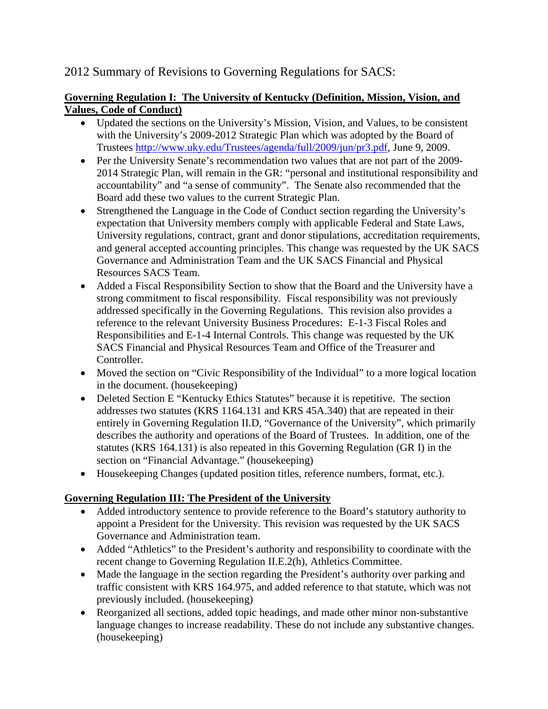# 2012 Summary of Revisions to Governing Regulations for SACS:

#### **Governing Regulation I: The University of Kentucky (Definition, Mission, Vision, and Values, Code of Conduct)**

- Updated the sections on the University's Mission, Vision, and Values, to be consistent with the University's 2009-2012 Strategic Plan which was adopted by the Board of Trustees [http://www.uky.edu/Trustees/agenda/full/2009/jun/pr3.pdf,](http://www.uky.edu/Trustees/agenda/full/2009/jun/pr3.pdf) June 9, 2009.
- Per the University Senate's recommendation two values that are not part of the 2009-2014 Strategic Plan, will remain in the GR: "personal and institutional responsibility and accountability" and "a sense of community". The Senate also recommended that the Board add these two values to the current Strategic Plan.
- Strengthened the Language in the Code of Conduct section regarding the University's expectation that University members comply with applicable Federal and State Laws, University regulations, contract, grant and donor stipulations, accreditation requirements, and general accepted accounting principles. This change was requested by the UK SACS Governance and Administration Team and the UK SACS Financial and Physical Resources SACS Team.
- Added a Fiscal Responsibility Section to show that the Board and the University have a strong commitment to fiscal responsibility. Fiscal responsibility was not previously addressed specifically in the Governing Regulations. This revision also provides a reference to the relevant University Business Procedures: E-1-3 [Fiscal Roles and](http://www.uky.edu/EVPFA/Controller/files/BPM/E-1-3.pdf)  [Responsibilities](http://www.uky.edu/EVPFA/Controller/files/BPM/E-1-3.pdf) and E-1-4 [Internal Controls.](http://www.uky.edu/EVPFA/Controller/files/BPM/E-1-4.pdf) This change was requested by the UK SACS Financial and Physical Resources Team and Office of the Treasurer and Controller.
- Moved the section on "Civic Responsibility of the Individual" to a more logical location in the document. (housekeeping)
- Deleted Section E "Kentucky Ethics Statutes" because it is repetitive. The section addresses two statutes (KRS 1164.131 and KRS 45A.340) that are repeated in their entirely in Governing Regulation II.D, "Governance of the University", which primarily describes the authority and operations of the Board of Trustees. In addition, one of the statutes (KRS 164.131) is also repeated in this Governing Regulation (GR I) in the section on "Financial Advantage." (housekeeping)
- Housekeeping Changes (updated position titles, reference numbers, format, etc.).

## **Governing Regulation III: The President of the University**

- Added introductory sentence to provide reference to the Board's statutory authority to appoint a President for the University. This revision was requested by the UK SACS Governance and Administration team.
- Added "Athletics" to the President's authority and responsibility to coordinate with the recent change to Governing Regulation II.E.2(h), Athletics Committee.
- Made the language in the section regarding the President's authority over parking and traffic consistent with KRS 164.975, and added reference to that statute, which was not previously included. (housekeeping)
- Reorganized all sections, added topic headings, and made other minor non-substantive language changes to increase readability. These do not include any substantive changes. (housekeeping)